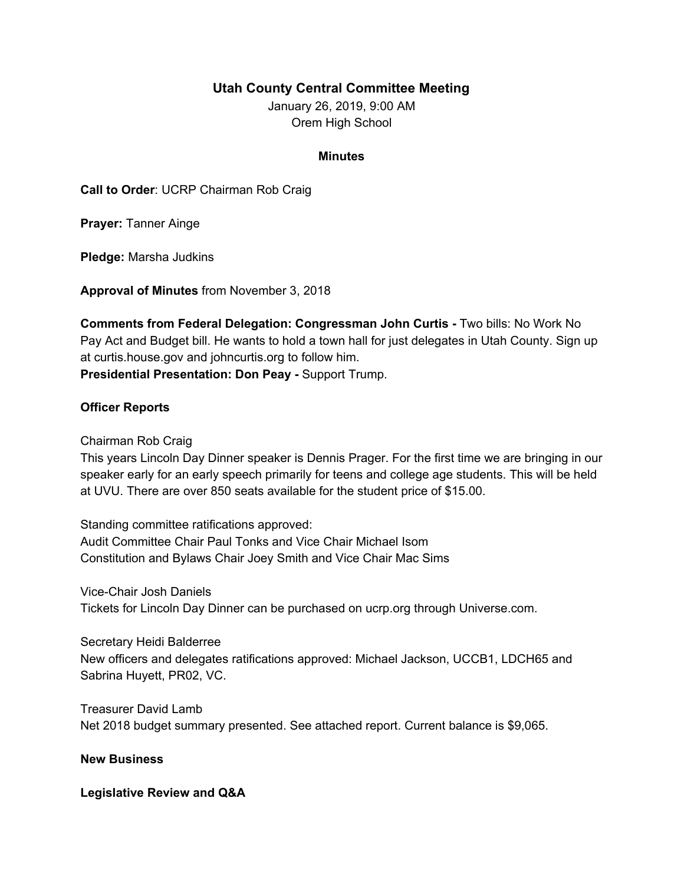## **Utah County Central Committee Meeting**

January 26, 2019, 9:00 AM Orem High School

## **Minutes**

**Call to Order**: UCRP Chairman Rob Craig

**Prayer:** Tanner Ainge

**Pledge:** Marsha Judkins

**Approval of Minutes** from November 3, 2018

**Comments from Federal Delegation: Congressman John Curtis -** Two bills: No Work No Pay Act and Budget bill. He wants to hold a town hall for just delegates in Utah County. Sign up at curtis.house.gov and johncurtis.org to follow him. **Presidential Presentation: Don Peay -** Support Trump.

## **Officer Reports**

Chairman Rob Craig

This years Lincoln Day Dinner speaker is Dennis Prager. For the first time we are bringing in our speaker early for an early speech primarily for teens and college age students. This will be held at UVU. There are over 850 seats available for the student price of \$15.00.

Standing committee ratifications approved: Audit Committee Chair Paul Tonks and Vice Chair Michael Isom Constitution and Bylaws Chair Joey Smith and Vice Chair Mac Sims

Vice-Chair Josh Daniels Tickets for Lincoln Day Dinner can be purchased on ucrp.org through Universe.com.

Secretary Heidi Balderree New officers and delegates ratifications approved: Michael Jackson, UCCB1, LDCH65 and Sabrina Huyett, PR02, VC.

Treasurer David Lamb Net 2018 budget summary presented. See attached report. Current balance is \$9,065.

## **New Business**

**Legislative Review and Q&A**